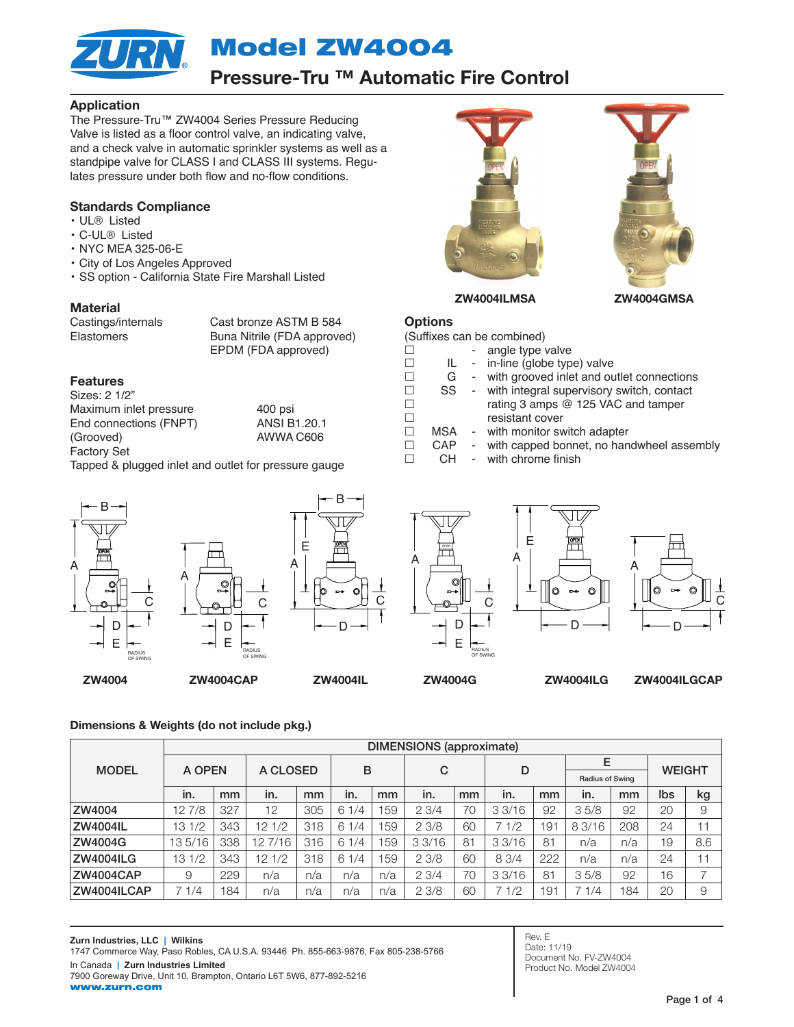Model ZW4004

## Pressure-Tru ™ Automatic Fire Control

### Application

The Pressure-Tru™ ZW4004 Series Pressure Reducing Valve is listed as a floor control valve, an indicating valve, and a check valve in automatic sprinkler systems as well as a standpipe valve for CLASS I and CLASS III systems. Regulates pressure under both flow and no-flow conditions.

### Standards Compliance

- UL® Listed
- C-UL® Listed
- NYC MEA 325-06-E
- City of Los Angeles Approved
- SS option California State Fire Marshall Listed

### Material

Castings/internals Cast bronze ASTM B 584 Elastomers Buna Nitrile (FDA approved) EPDM (FDA approved)

### Features

Sizes: 2 1/2" Maximum inlet pressure 400 psi<br>End connections (FNPT) ANSI B1.20.1 End connections (FNPT) (Grooved) AWWA C606 Factory Set

Tapped & plugged inlet and outlet for pressure gauge







B



**Options** 



D



ZW4004 ZW4004CAP ZW4004IL ZW4004G ZW4004ILG ZW4004ILGCAP

### Dimensions & Weights (do not include pkg.)

|                  | <b>DIMENSIONS</b> (approximate) |     |                         |     |      |     |       |                |        |                 |                             |     |               |     |
|------------------|---------------------------------|-----|-------------------------|-----|------|-----|-------|----------------|--------|-----------------|-----------------------------|-----|---------------|-----|
| <b>MODEL</b>     | A OPEN                          |     | A CLOSED                |     | B    |     | C     |                | D      |                 | E<br><b>Radius of Swing</b> |     | <b>WEIGHT</b> |     |
|                  | in.                             | mm  | in.                     | mm  | in.  | mm  | in.   | mm             | in.    | mm              | in.                         | mm  | lbs           | kg  |
| ZW4004           | 12 7/8                          | 327 | 12                      | 305 | 61/4 | 159 | 23/4  | 70             | 3.3/16 | 92              | 35/8                        | 92  | 20            | 9   |
| <b>ZW4004IL</b>  | 13 1/2                          | 343 | 1/2<br>12 <sup>2</sup>  | 318 | 61/4 | 159 | 23/8  | 60             | 7 1/2  | 19 <sup>1</sup> | 8 3/16                      | 208 | 24            |     |
| ZW4004G          | 135/16                          | 338 | 127/16                  | 316 | 61/4 | 159 | 33/16 | 8 <sup>1</sup> | 3.3/16 | 81              | n/a                         | n/a | 19            | 8.6 |
| <b>ZW4004ILG</b> | 13 1/2                          | 343 | 1/2<br>12 <sup>12</sup> | 318 | 61/4 | 159 | 23/8  | 60             | 8 3/4  | 222             | n/a                         | n/a | 24            |     |
| <b>ZW4004CAP</b> | 9                               | 229 | n/a                     | n/a | n/a  | n/a | 23/4  | 70             | 33/16  | 81              | 35/8                        | 92  | 16            | ⇁   |
| ZW4004ILCAP      | 1/4<br>$\overline{1}$           | 84  | n/a                     | n/a | n/a  | n/a | 23/8  | 60             | 7 1/2  | 191             | 1/4                         | 184 | 20            | 9   |

Rev. E Date: 11/19 Document No. FV-ZW4004 Product No. Model ZW4004

| JOUIIIXES CAILDE COITIDILIEU) |            |  |                                             |  |
|-------------------------------|------------|--|---------------------------------------------|--|
|                               |            |  | - angle type valve                          |  |
|                               | IL         |  | - in-line (globe type) valve                |  |
|                               | G          |  | - with grooved inlet and outlet connections |  |
| $\perp$                       | SS         |  | - with integral supervisory switch, contact |  |
|                               |            |  | rating 3 amps @ 125 VAC and tamper          |  |
|                               |            |  | resistant cover                             |  |
|                               | <b>MSA</b> |  | - with monitor switch adapter               |  |
|                               | CAP        |  | with capped bonnet, no handwheel assembly   |  |
|                               | CН         |  | - with chrome finish                        |  |

ZW4004ILMSA ZW4004GMSA

(Suffixes can be combined)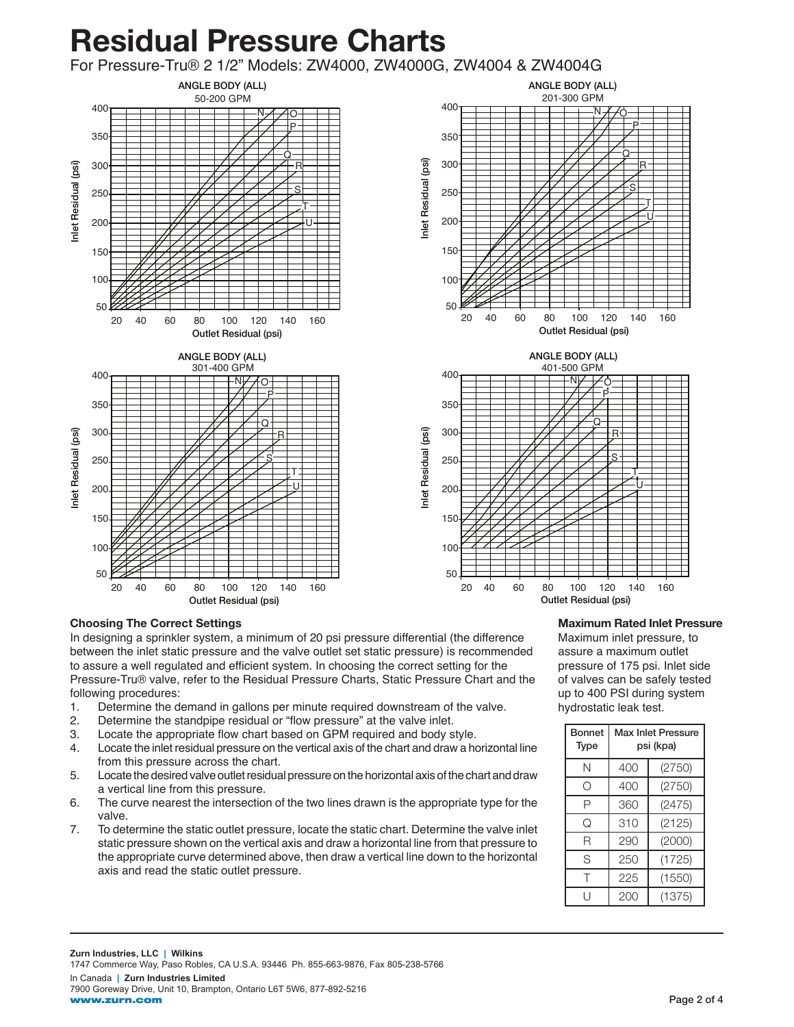# Residual Pressure Charts

For Pressure-Tru® 2 1/2" Models: ZW4000, ZW4000G, ZW4004 & ZW4004G





20 40 60 80 100 120 140 160 Outlet Residual (psi)

### Choosing The Correct Settings

In designing a sprinkler system, a minimum of 20 psi pressure differential (the difference between the inlet static pressure and the valve outlet set static pressure) is recommended to assure a well regulated and efficient system. In choosing the correct setting for the Pressure-Tru® valve, refer to the Residual Pressure Charts, Static Pressure Chart and the following procedures:

50

100

150

200

250

- 1. Determine the demand in gallons per minute required downstream of the valve.
- 2. Determine the standpipe residual or "flow pressure" at the valve inlet.
- 3. Locate the appropriate flow chart based on GPM required and body style.
- 4. Locate the inlet residual pressure on the vertical axis of the chart and draw a horizontal line from this pressure across the chart.
- 5. Locate the desired valve outlet residual pressure on the horizontal axis of the chart and draw a vertical line from this pressure.
- 6. The curve nearest the intersection of the two lines drawn is the appropriate type for the valve.
- 7. To determine the static outlet pressure, locate the static chart. Determine the valve inlet static pressure shown on the vertical axis and draw a horizontal line from that pressure to the appropriate curve determined above, then draw a vertical line down to the horizontal axis and read the static outlet pressure.

### Maximum Rated Inlet Pressure

S T U

Maximum inlet pressure, to assure a maximum outlet pressure of 175 psi. Inlet side of valves can be safely tested up to 400 PSI during system hydrostatic leak test.

| Bonnet<br>Type   | <b>Max Inlet Pressure</b><br>psi (kpa) |        |  |  |  |  |
|------------------|----------------------------------------|--------|--|--|--|--|
| Ν                | 400                                    | (2750) |  |  |  |  |
| $\left( \right)$ | 400                                    | (2750) |  |  |  |  |
| Ρ                | 360                                    | (2475) |  |  |  |  |
| Q                | 310                                    | (2125) |  |  |  |  |
| R                | 290                                    | (2000) |  |  |  |  |
| S                | 250                                    | (1725) |  |  |  |  |
| т                | 225                                    | (1550) |  |  |  |  |
| Н                | 200                                    | (1375) |  |  |  |  |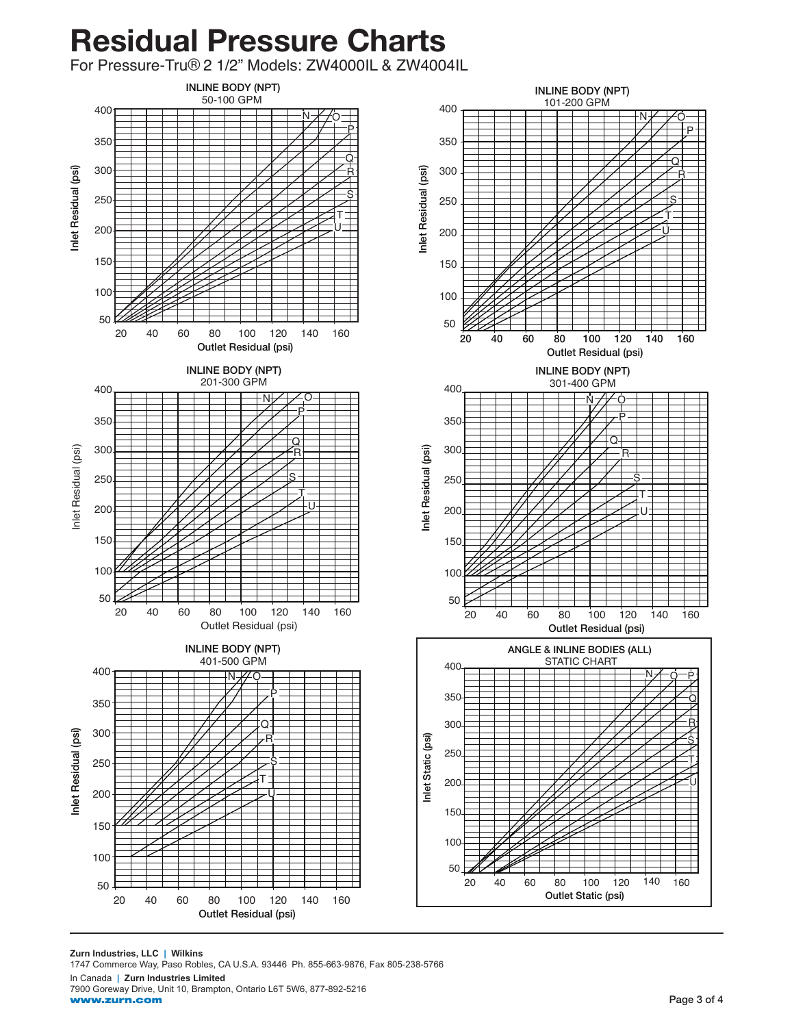# Residual Pressure Charts

For Pressure-Tru® 2 1/2" Models: ZW4000IL & ZW4004IL



**Zurn Industries, LLC | Wilkins** 1747 Commerce Way, Paso Robles, CA U.S.A. 93446 Ph. 855-663-9876, Fax 805-238-5766 In Canada **| Zurn Industries Limited** 7900 Goreway Drive, Unit 10, Brampton, Ontario L6T 5W6, 877-892-5216 www.zurn.com

 $\overline{\mathsf{Q}}$ R S T U

P

R